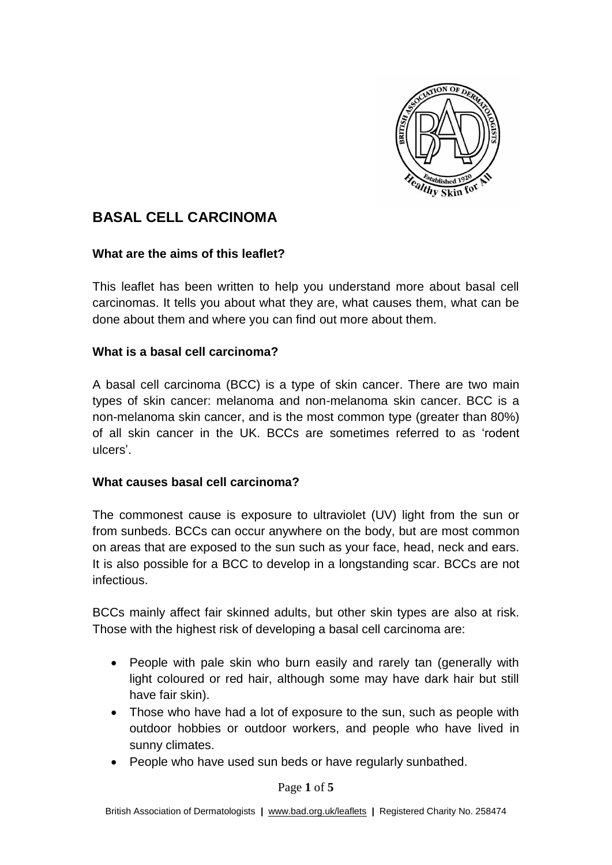

# **BASAL CELL CARCINOMA**

#### **What are the aims of this leaflet?**

This leaflet has been written to help you understand more about basal cell carcinomas. It tells you about what they are, what causes them, what can be done about them and where you can find out more about them.

## **What is a basal cell carcinoma?**

A basal cell carcinoma (BCC) is a type of skin cancer. There are two main types of skin cancer: melanoma and non-melanoma skin cancer. BCC is a non-melanoma skin cancer, and is the most common type (greater than 80%) of all skin cancer in the UK. BCCs are sometimes referred to as 'rodent ulcers'.

#### **What causes basal cell carcinoma?**

The commonest cause is exposure to ultraviolet (UV) light from the sun or from sunbeds. BCCs can occur anywhere on the body, but are most common on areas that are exposed to the sun such as your face, head, neck and ears. It is also possible for a BCC to develop in a longstanding scar. BCCs are not infectious.

BCCs mainly affect fair skinned adults, but other skin types are also at risk. Those with the highest risk of developing a basal cell carcinoma are:

- People with pale skin who burn easily and rarely tan (generally with light coloured or red hair, although some may have dark hair but still have fair skin).
- Those who have had a lot of exposure to the sun, such as people with outdoor hobbies or outdoor workers, and people who have lived in sunny climates.
- People who have used sun beds or have regularly sunbathed.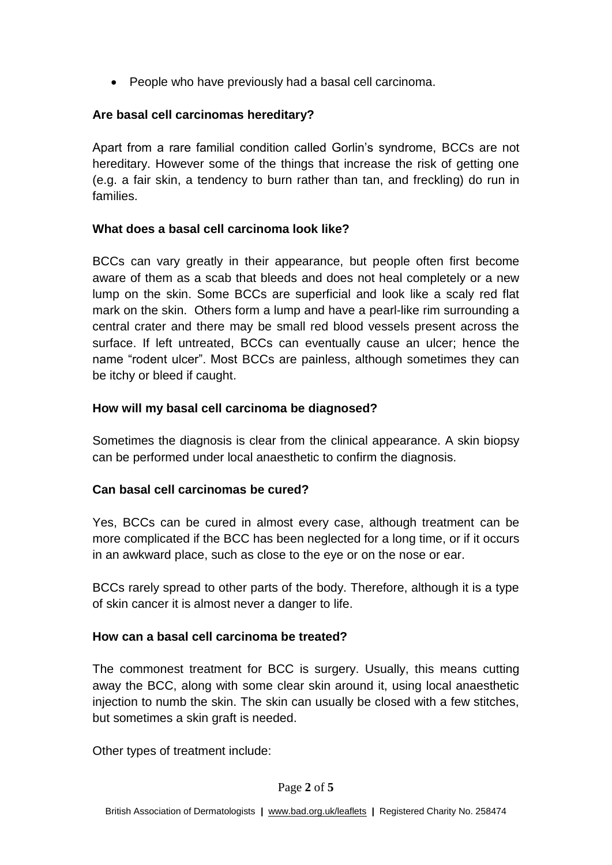• People who have previously had a basal cell carcinoma.

# **Are basal cell carcinomas hereditary?**

Apart from a rare familial condition called Gorlin's syndrome, BCCs are not hereditary. However some of the things that increase the risk of getting one (e.g. a fair skin, a tendency to burn rather than tan, and freckling) do run in families.

## **What does a basal cell carcinoma look like?**

BCCs can vary greatly in their appearance, but people often first become aware of them as a scab that bleeds and does not heal completely or a new lump on the skin. Some BCCs are superficial and look like a scaly red flat mark on the skin. Others form a lump and have a pearl-like rim surrounding a central crater and there may be small red blood vessels present across the surface. If left untreated, BCCs can eventually cause an ulcer; hence the name "rodent ulcer". Most BCCs are painless, although sometimes they can be itchy or bleed if caught.

## **How will my basal cell carcinoma be diagnosed?**

Sometimes the diagnosis is clear from the clinical appearance. A skin biopsy can be performed under local anaesthetic to confirm the diagnosis.

## **Can basal cell carcinomas be cured?**

Yes, BCCs can be cured in almost every case, although treatment can be more complicated if the BCC has been neglected for a long time, or if it occurs in an awkward place, such as close to the eye or on the nose or ear.

BCCs rarely spread to other parts of the body. Therefore, although it is a type of skin cancer it is almost never a danger to life.

## **How can a basal cell carcinoma be treated?**

The commonest treatment for BCC is surgery. Usually, this means cutting away the BCC, along with some clear skin around it, using local anaesthetic injection to numb the skin. The skin can usually be closed with a few stitches, but sometimes a skin graft is needed.

Other types of treatment include: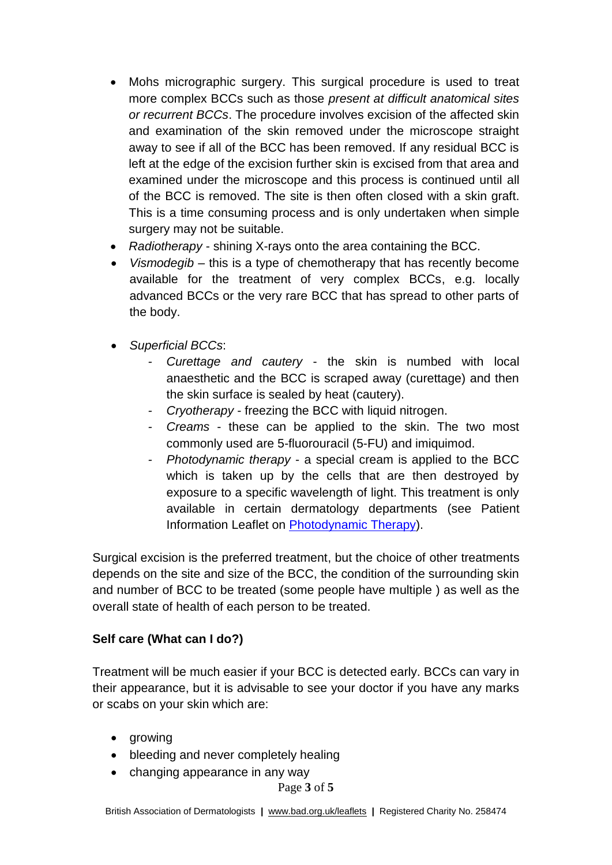- Mohs micrographic surgery. This surgical procedure is used to treat more complex BCCs such as those *present at difficult anatomical sites or recurrent BCCs*. The procedure involves excision of the affected skin and examination of the skin removed under the microscope straight away to see if all of the BCC has been removed. If any residual BCC is left at the edge of the excision further skin is excised from that area and examined under the microscope and this process is continued until all of the BCC is removed. The site is then often closed with a skin graft. This is a time consuming process and is only undertaken when simple surgery may not be suitable.
- *Radiotherapy* shining X-rays onto the area containing the BCC.
- *Vismodegib*  this is a type of chemotherapy that has recently become available for the treatment of very complex BCCs, e.g. locally advanced BCCs or the very rare BCC that has spread to other parts of the body.
- *Superficial BCCs*:
	- *Curettage and cautery the skin is numbed with local* anaesthetic and the BCC is scraped away (curettage) and then the skin surface is sealed by heat (cautery).
	- *- Cryotherapy* freezing the BCC with liquid nitrogen.
	- *- Creams* these can be applied to the skin. The two most commonly used are 5-fluorouracil (5-FU) and imiquimod.
	- *- Photodynamic therapy* a special cream is applied to the BCC which is taken up by the cells that are then destroyed by exposure to a specific wavelength of light. This treatment is only available in certain dermatology departments (see Patient Information Leaflet on **Photodynamic Therapy**).

Surgical excision is the preferred treatment, but the choice of other treatments depends on the site and size of the BCC, the condition of the surrounding skin and number of BCC to be treated (some people have multiple ) as well as the overall state of health of each person to be treated.

## **Self care (What can I do?)**

Treatment will be much easier if your BCC is detected early. BCCs can vary in their appearance, but it is advisable to see your doctor if you have any marks or scabs on your skin which are:

- arowing
- bleeding and never completely healing
- changing appearance in any way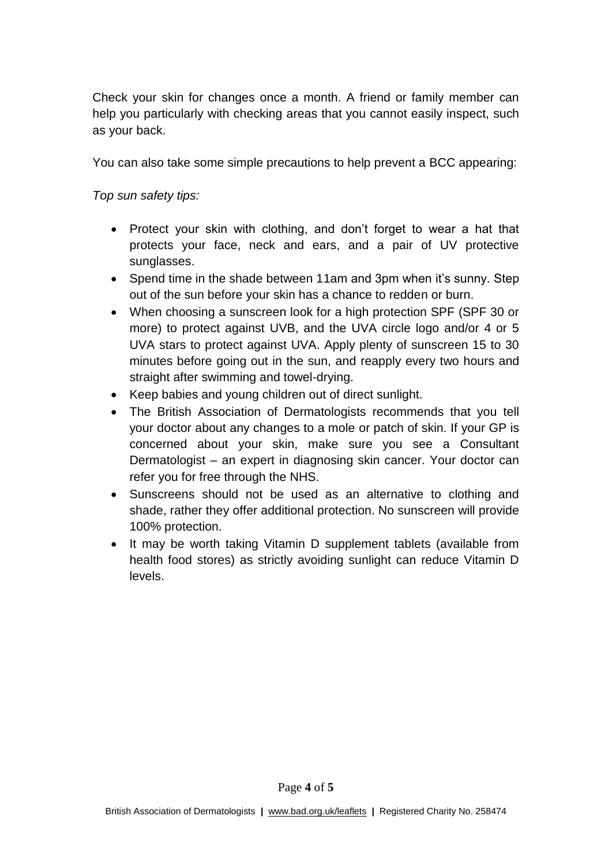Check your skin for changes once a month. A friend or family member can help you particularly with checking areas that you cannot easily inspect, such as your back.

You can also take some simple precautions to help prevent a BCC appearing:

*Top sun safety tips:*

- Protect your skin with clothing, and don't forget to wear a hat that protects your face, neck and ears, and a pair of UV protective sunglasses.
- Spend time in the shade between 11am and 3pm when it's sunny. Step out of the sun before your skin has a chance to redden or burn.
- When choosing a sunscreen look for a high protection SPF (SPF 30 or more) to protect against UVB, and the UVA circle logo and/or 4 or 5 UVA stars to protect against UVA. Apply plenty of sunscreen 15 to 30 minutes before going out in the sun, and reapply every two hours and straight after swimming and towel-drying.
- Keep babies and young children out of direct sunlight.
- The British Association of Dermatologists recommends that you tell your doctor about any changes to a mole or patch of skin. If your GP is concerned about your skin, make sure you see a Consultant Dermatologist – an expert in diagnosing skin cancer. Your doctor can refer you for free through the NHS.
- Sunscreens should not be used as an alternative to clothing and shade, rather they offer additional protection. No sunscreen will provide 100% protection.
- It may be worth taking Vitamin D supplement tablets (available from health food stores) as strictly avoiding sunlight can reduce Vitamin D levels.